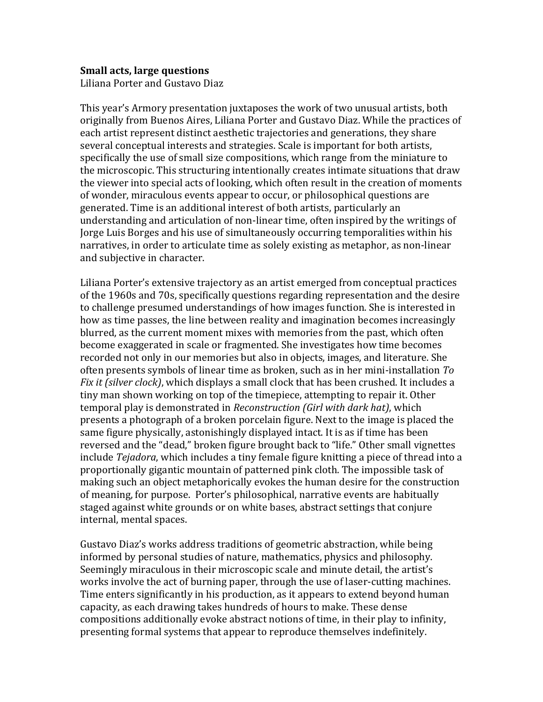## **Small acts, large questions**

Liliana Porter and Gustavo Diaz

This year's Armory presentation juxtaposes the work of two unusual artists, both originally from Buenos Aires, Liliana Porter and Gustavo Diaz. While the practices of each artist represent distinct aesthetic trajectories and generations, they share several conceptual interests and strategies. Scale is important for both artists, specifically the use of small size compositions, which range from the miniature to the microscopic. This structuring intentionally creates intimate situations that draw the viewer into special acts of looking, which often result in the creation of moments of wonder, miraculous events appear to occur, or philosophical questions are generated. Time is an additional interest of both artists, particularly an understanding and articulation of non-linear time, often inspired by the writings of Jorge Luis Borges and his use of simultaneously occurring temporalities within his narratives, in order to articulate time as solely existing as metaphor, as non-linear and subjective in character.

Liliana Porter's extensive trajectory as an artist emerged from conceptual practices of the 1960s and 70s, specifically questions regarding representation and the desire to challenge presumed understandings of how images function. She is interested in how as time passes, the line between reality and imagination becomes increasingly blurred, as the current moment mixes with memories from the past, which often become exaggerated in scale or fragmented. She investigates how time becomes recorded not only in our memories but also in objects, images, and literature. She often presents symbols of linear time as broken, such as in her mini-installation *To Fix it (silver clock)*, which displays a small clock that has been crushed. It includes a tiny man shown working on top of the timepiece, attempting to repair it. Other temporal play is demonstrated in *Reconstruction (Girl with dark hat)*, which presents a photograph of a broken porcelain figure. Next to the image is placed the same figure physically, astonishingly displayed intact. It is as if time has been reversed and the "dead," broken figure brought back to "life." Other small vignettes include *Tejadora*, which includes a tiny female figure knitting a piece of thread into a proportionally gigantic mountain of patterned pink cloth. The impossible task of making such an object metaphorically evokes the human desire for the construction of meaning, for purpose. Porter's philosophical, narrative events are habitually staged against white grounds or on white bases, abstract settings that conjure internal, mental spaces.

Gustavo Diaz's works address traditions of geometric abstraction, while being informed by personal studies of nature, mathematics, physics and philosophy. Seemingly miraculous in their microscopic scale and minute detail, the artist's works involve the act of burning paper, through the use of laser-cutting machines. Time enters significantly in his production, as it appears to extend beyond human capacity, as each drawing takes hundreds of hours to make. These dense compositions additionally evoke abstract notions of time, in their play to infinity, presenting formal systems that appear to reproduce themselves indefinitely.